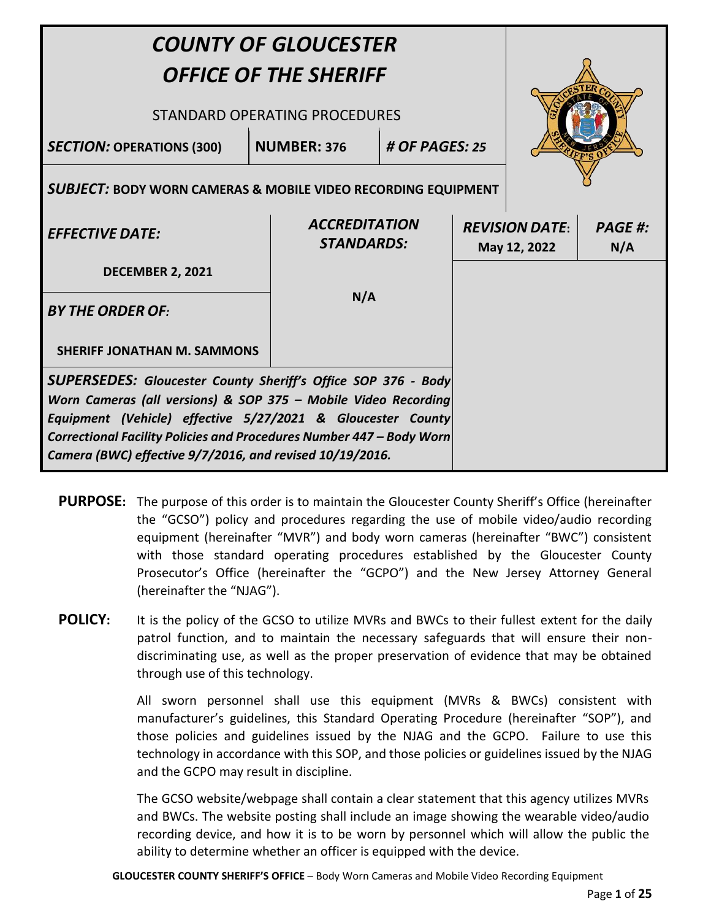| <b>COUNTY OF GLOUCESTER</b><br><b>OFFICE OF THE SHERIFF</b><br>STANDARD OPERATING PROCEDURES                                                                                                                                                                                                                                              |                                                                                                                  |                                           |  |  |                                       |                       |
|-------------------------------------------------------------------------------------------------------------------------------------------------------------------------------------------------------------------------------------------------------------------------------------------------------------------------------------------|------------------------------------------------------------------------------------------------------------------|-------------------------------------------|--|--|---------------------------------------|-----------------------|
| <b>SECTION: OPERATIONS (300)</b>                                                                                                                                                                                                                                                                                                          | # OF PAGES: 25<br><b>NUMBER: 376</b><br><b>SUBJECT: BODY WORN CAMERAS &amp; MOBILE VIDEO RECORDING EQUIPMENT</b> |                                           |  |  |                                       |                       |
| <b>EFFECTIVE DATE:</b>                                                                                                                                                                                                                                                                                                                    |                                                                                                                  | <b>ACCREDITATION</b><br><b>STANDARDS:</b> |  |  | <b>REVISION DATE:</b><br>May 12, 2022 | <b>PAGE #:</b><br>N/A |
| <b>DECEMBER 2, 2021</b>                                                                                                                                                                                                                                                                                                                   |                                                                                                                  |                                           |  |  |                                       |                       |
| <b>BY THE ORDER OF:</b>                                                                                                                                                                                                                                                                                                                   |                                                                                                                  | N/A                                       |  |  |                                       |                       |
| <b>SHERIFF JONATHAN M. SAMMONS</b>                                                                                                                                                                                                                                                                                                        |                                                                                                                  |                                           |  |  |                                       |                       |
| <b>SUPERSEDES:</b> Gloucester County Sheriff's Office SOP 376 - Body<br>Worn Cameras (all versions) & SOP 375 - Mobile Video Recording<br>Equipment (Vehicle) effective 5/27/2021 & Gloucester County<br>Correctional Facility Policies and Procedures Number 447 - Body Worn<br>Camera (BWC) effective 9/7/2016, and revised 10/19/2016. |                                                                                                                  |                                           |  |  |                                       |                       |

- **PURPOSE:** The purpose of this order is to maintain the Gloucester County Sheriff's Office (hereinafter the "GCSO") policy and procedures regarding the use of mobile video/audio recording equipment (hereinafter "MVR") and body worn cameras (hereinafter "BWC") consistent with those standard operating procedures established by the Gloucester County Prosecutor's Office (hereinafter the "GCPO") and the New Jersey Attorney General (hereinafter the "NJAG").
- **POLICY:** It is the policy of the GCSO to utilize MVRs and BWCs to their fullest extent for the daily patrol function, and to maintain the necessary safeguards that will ensure their nondiscriminating use, as well as the proper preservation of evidence that may be obtained through use of this technology.

All sworn personnel shall use this equipment (MVRs & BWCs) consistent with manufacturer's guidelines, this Standard Operating Procedure (hereinafter "SOP"), and those policies and guidelines issued by the NJAG and the GCPO. Failure to use this technology in accordance with this SOP, and those policies or guidelines issued by the NJAG and the GCPO may result in discipline.

The GCSO website/webpage shall contain a clear statement that this agency utilizes MVRs and BWCs. The website posting shall include an image showing the wearable video/audio recording device, and how it is to be worn by personnel which will allow the public the ability to determine whether an officer is equipped with the device.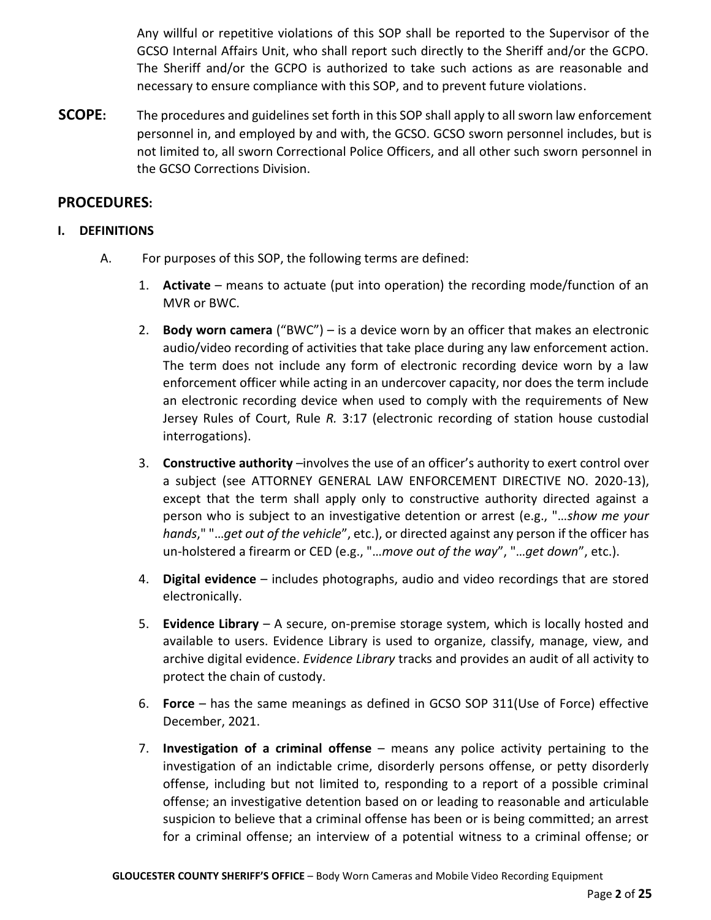Any willful or repetitive violations of this SOP shall be reported to the Supervisor of the GCSO Internal Affairs Unit, who shall report such directly to the Sheriff and/or the GCPO. The Sheriff and/or the GCPO is authorized to take such actions as are reasonable and necessary to ensure compliance with this SOP, and to prevent future violations.

**SCOPE:** The procedures and guidelines set forth in this SOP shall apply to all sworn law enforcement personnel in, and employed by and with, the GCSO. GCSO sworn personnel includes, but is not limited to, all sworn Correctional Police Officers, and all other such sworn personnel in the GCSO Corrections Division.

# **PROCEDURES:**

# **I. DEFINITIONS**

- A. For purposes of this SOP, the following terms are defined:
	- 1. **Activate** means to actuate (put into operation) the recording mode/function of an MVR or BWC.
	- 2. **Body worn camera** ("BWC") is a device worn by an officer that makes an electronic audio/video recording of activities that take place during any law enforcement action. The term does not include any form of electronic recording device worn by a law enforcement officer while acting in an undercover capacity, nor does the term include an electronic recording device when used to comply with the requirements of New Jersey Rules of Court, Rule *R.* 3:17 (electronic recording of station house custodial interrogations).
	- 3. **Constructive authority** –involves the use of an officer's authority to exert control over a subject (see ATTORNEY GENERAL LAW ENFORCEMENT DIRECTIVE NO. 2020-13), except that the term shall apply only to constructive authority directed against a person who is subject to an investigative detention or arrest (e.g., "…*show me your hands*," "…*get out of the vehicle*", etc.), or directed against any person if the officer has un-holstered a firearm or CED (e.g., "…*move out of the way*", "…*get down*", etc.).
	- 4. **Digital evidence**  includes photographs, audio and video recordings that are stored electronically.
	- 5. **Evidence Library** A secure, on-premise storage system, which is locally hosted and available to users. Evidence Library is used to organize, classify, manage, view, and archive digital evidence. *Evidence Library* tracks and provides an audit of all activity to protect the chain of custody.
	- 6. **Force** has the same meanings as defined in GCSO SOP 311(Use of Force) effective December, 2021.
	- 7. **Investigation of a criminal offense** means any police activity pertaining to the investigation of an indictable crime, disorderly persons offense, or petty disorderly offense, including but not limited to, responding to a report of a possible criminal offense; an investigative detention based on or leading to reasonable and articulable suspicion to believe that a criminal offense has been or is being committed; an arrest for a criminal offense; an interview of a potential witness to a criminal offense; or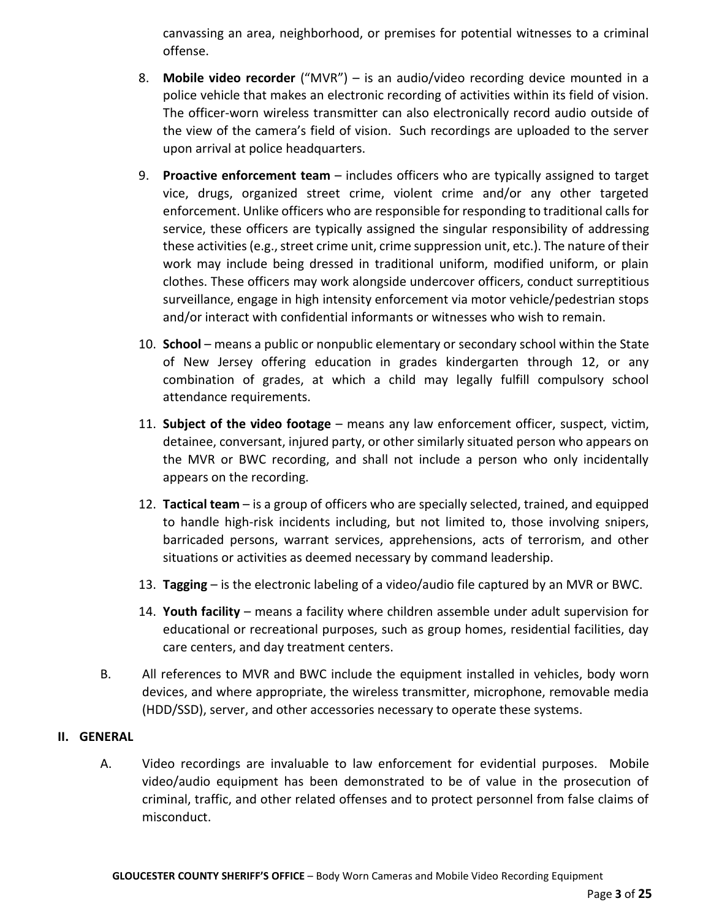canvassing an area, neighborhood, or premises for potential witnesses to a criminal offense.

- 8. **Mobile video recorder** ("MVR") is an audio/video recording device mounted in a police vehicle that makes an electronic recording of activities within its field of vision. The officer-worn wireless transmitter can also electronically record audio outside of the view of the camera's field of vision. Such recordings are uploaded to the server upon arrival at police headquarters.
- 9. **Proactive enforcement team** includes officers who are typically assigned to target vice, drugs, organized street crime, violent crime and/or any other targeted enforcement. Unlike officers who are responsible for responding to traditional calls for service, these officers are typically assigned the singular responsibility of addressing these activities (e.g., street crime unit, crime suppression unit, etc.). The nature of their work may include being dressed in traditional uniform, modified uniform, or plain clothes. These officers may work alongside undercover officers, conduct surreptitious surveillance, engage in high intensity enforcement via motor vehicle/pedestrian stops and/or interact with confidential informants or witnesses who wish to remain.
- 10. **School** means a public or nonpublic elementary or secondary school within the State of New Jersey offering education in grades kindergarten through 12, or any combination of grades, at which a child may legally fulfill compulsory school attendance requirements.
- 11. **Subject of the video footage** means any law enforcement officer, suspect, victim, detainee, conversant, injured party, or other similarly situated person who appears on the MVR or BWC recording, and shall not include a person who only incidentally appears on the recording.
- 12. **Tactical team** is a group of officers who are specially selected, trained, and equipped to handle high-risk incidents including, but not limited to, those involving snipers, barricaded persons, warrant services, apprehensions, acts of terrorism, and other situations or activities as deemed necessary by command leadership.
- 13. **Tagging** is the electronic labeling of a video/audio file captured by an MVR or BWC.
- 14. **Youth facility** means a facility where children assemble under adult supervision for educational or recreational purposes, such as group homes, residential facilities, day care centers, and day treatment centers.
- B. All references to MVR and BWC include the equipment installed in vehicles, body worn devices, and where appropriate, the wireless transmitter, microphone, removable media (HDD/SSD), server, and other accessories necessary to operate these systems.

## **II. GENERAL**

A. Video recordings are invaluable to law enforcement for evidential purposes. Mobile video/audio equipment has been demonstrated to be of value in the prosecution of criminal, traffic, and other related offenses and to protect personnel from false claims of misconduct.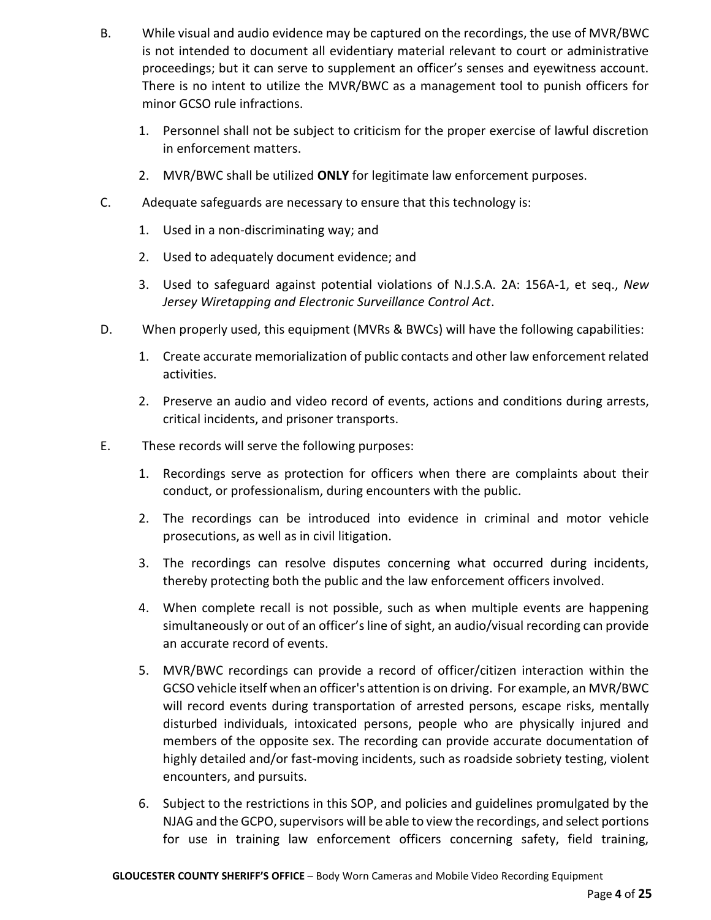- B. While visual and audio evidence may be captured on the recordings, the use of MVR/BWC is not intended to document all evidentiary material relevant to court or administrative proceedings; but it can serve to supplement an officer's senses and eyewitness account. There is no intent to utilize the MVR/BWC as a management tool to punish officers for minor GCSO rule infractions.
	- 1. Personnel shall not be subject to criticism for the proper exercise of lawful discretion in enforcement matters.
	- 2. MVR/BWC shall be utilized **ONLY** for legitimate law enforcement purposes.
- C. Adequate safeguards are necessary to ensure that this technology is:
	- 1. Used in a non-discriminating way; and
	- 2. Used to adequately document evidence; and
	- 3. Used to safeguard against potential violations of N.J.S.A. 2A: 156A-1, et seq., *New Jersey Wiretapping and Electronic Surveillance Control Act*.
- D. When properly used, this equipment (MVRs & BWCs) will have the following capabilities:
	- 1. Create accurate memorialization of public contacts and other law enforcement related activities.
	- 2. Preserve an audio and video record of events, actions and conditions during arrests, critical incidents, and prisoner transports.
- E. These records will serve the following purposes:
	- 1. Recordings serve as protection for officers when there are complaints about their conduct, or professionalism, during encounters with the public.
	- 2. The recordings can be introduced into evidence in criminal and motor vehicle prosecutions, as well as in civil litigation.
	- 3. The recordings can resolve disputes concerning what occurred during incidents, thereby protecting both the public and the law enforcement officers involved.
	- 4. When complete recall is not possible, such as when multiple events are happening simultaneously or out of an officer's line of sight, an audio/visual recording can provide an accurate record of events.
	- 5. MVR/BWC recordings can provide a record of officer/citizen interaction within the GCSO vehicle itself when an officer's attention is on driving. For example, an MVR/BWC will record events during transportation of arrested persons, escape risks, mentally disturbed individuals, intoxicated persons, people who are physically injured and members of the opposite sex. The recording can provide accurate documentation of highly detailed and/or fast-moving incidents, such as roadside sobriety testing, violent encounters, and pursuits.
	- 6. Subject to the restrictions in this SOP, and policies and guidelines promulgated by the NJAG and the GCPO, supervisors will be able to view the recordings, and select portions for use in training law enforcement officers concerning safety, field training,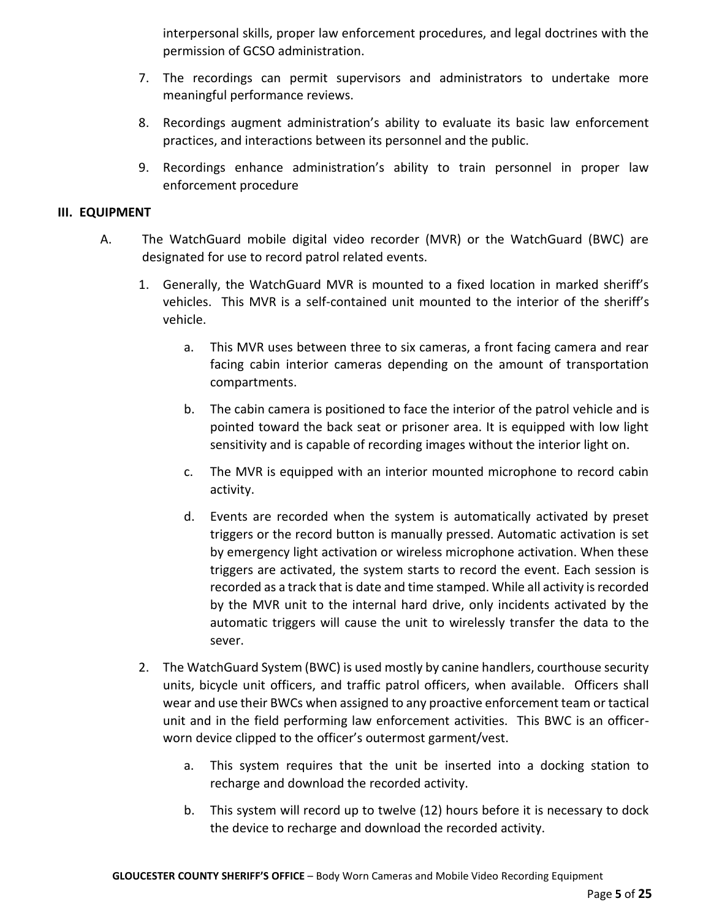interpersonal skills, proper law enforcement procedures, and legal doctrines with the permission of GCSO administration.

- 7. The recordings can permit supervisors and administrators to undertake more meaningful performance reviews.
- 8. Recordings augment administration's ability to evaluate its basic law enforcement practices, and interactions between its personnel and the public.
- 9. Recordings enhance administration's ability to train personnel in proper law enforcement procedure

## **III. EQUIPMENT**

- A. The WatchGuard mobile digital video recorder (MVR) or the WatchGuard (BWC) are designated for use to record patrol related events.
	- 1. Generally, the WatchGuard MVR is mounted to a fixed location in marked sheriff's vehicles. This MVR is a self-contained unit mounted to the interior of the sheriff's vehicle.
		- a. This MVR uses between three to six cameras, a front facing camera and rear facing cabin interior cameras depending on the amount of transportation compartments.
		- b. The cabin camera is positioned to face the interior of the patrol vehicle and is pointed toward the back seat or prisoner area. It is equipped with low light sensitivity and is capable of recording images without the interior light on.
		- c. The MVR is equipped with an interior mounted microphone to record cabin activity.
		- d. Events are recorded when the system is automatically activated by preset triggers or the record button is manually pressed. Automatic activation is set by emergency light activation or wireless microphone activation. When these triggers are activated, the system starts to record the event. Each session is recorded as a track that is date and time stamped. While all activity is recorded by the MVR unit to the internal hard drive, only incidents activated by the automatic triggers will cause the unit to wirelessly transfer the data to the sever.
	- 2. The WatchGuard System (BWC) is used mostly by canine handlers, courthouse security units, bicycle unit officers, and traffic patrol officers, when available. Officers shall wear and use their BWCs when assigned to any proactive enforcement team or tactical unit and in the field performing law enforcement activities. This BWC is an officerworn device clipped to the officer's outermost garment/vest.
		- a. This system requires that the unit be inserted into a docking station to recharge and download the recorded activity.
		- b. This system will record up to twelve (12) hours before it is necessary to dock the device to recharge and download the recorded activity.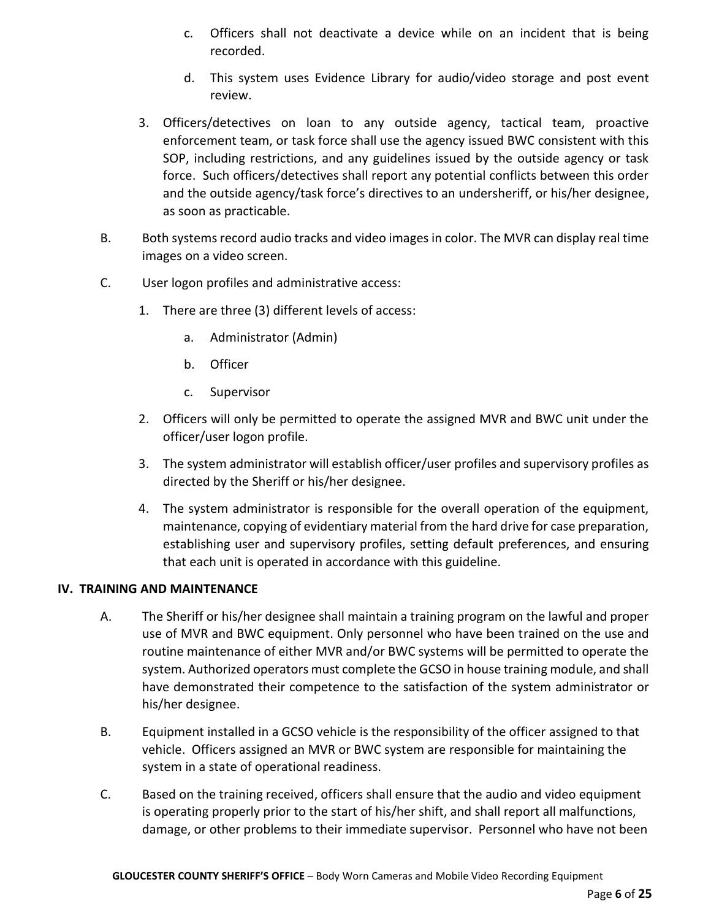- c. Officers shall not deactivate a device while on an incident that is being recorded.
- d. This system uses Evidence Library for audio/video storage and post event review.
- 3. Officers/detectives on loan to any outside agency, tactical team, proactive enforcement team, or task force shall use the agency issued BWC consistent with this SOP, including restrictions, and any guidelines issued by the outside agency or task force. Such officers/detectives shall report any potential conflicts between this order and the outside agency/task force's directives to an undersheriff, or his/her designee, as soon as practicable.
- B. Both systems record audio tracks and video images in color. The MVR can display real time images on a video screen.
- C. User logon profiles and administrative access:
	- 1. There are three (3) different levels of access:
		- a. Administrator (Admin)
		- b. Officer
		- c. Supervisor
	- 2. Officers will only be permitted to operate the assigned MVR and BWC unit under the officer/user logon profile.
	- 3. The system administrator will establish officer/user profiles and supervisory profiles as directed by the Sheriff or his/her designee.
	- 4. The system administrator is responsible for the overall operation of the equipment, maintenance, copying of evidentiary material from the hard drive for case preparation, establishing user and supervisory profiles, setting default preferences, and ensuring that each unit is operated in accordance with this guideline.

## **IV. TRAINING AND MAINTENANCE**

- A. The Sheriff or his/her designee shall maintain a training program on the lawful and proper use of MVR and BWC equipment. Only personnel who have been trained on the use and routine maintenance of either MVR and/or BWC systems will be permitted to operate the system. Authorized operators must complete the GCSO in house training module, and shall have demonstrated their competence to the satisfaction of the system administrator or his/her designee.
- B. Equipment installed in a GCSO vehicle is the responsibility of the officer assigned to that vehicle. Officers assigned an MVR or BWC system are responsible for maintaining the system in a state of operational readiness.
- C. Based on the training received, officers shall ensure that the audio and video equipment is operating properly prior to the start of his/her shift, and shall report all malfunctions, damage, or other problems to their immediate supervisor. Personnel who have not been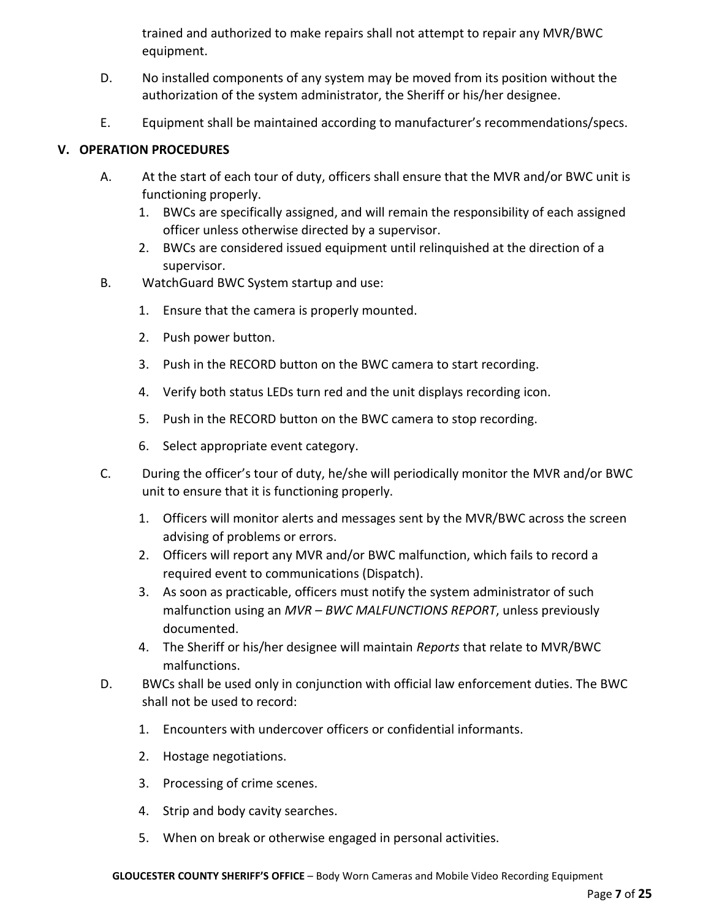trained and authorized to make repairs shall not attempt to repair any MVR/BWC equipment.

- D. No installed components of any system may be moved from its position without the authorization of the system administrator, the Sheriff or his/her designee.
- E. Equipment shall be maintained according to manufacturer's recommendations/specs.

# **V. OPERATION PROCEDURES**

- A. At the start of each tour of duty, officers shall ensure that the MVR and/or BWC unit is functioning properly.
	- 1. BWCs are specifically assigned, and will remain the responsibility of each assigned officer unless otherwise directed by a supervisor.
	- 2. BWCs are considered issued equipment until relinquished at the direction of a supervisor.
- B. WatchGuard BWC System startup and use:
	- 1. Ensure that the camera is properly mounted.
	- 2. Push power button.
	- 3. Push in the RECORD button on the BWC camera to start recording.
	- 4. Verify both status LEDs turn red and the unit displays recording icon.
	- 5. Push in the RECORD button on the BWC camera to stop recording.
	- 6. Select appropriate event category.
- C. During the officer's tour of duty, he/she will periodically monitor the MVR and/or BWC unit to ensure that it is functioning properly.
	- 1. Officers will monitor alerts and messages sent by the MVR/BWC across the screen advising of problems or errors.
	- 2. Officers will report any MVR and/or BWC malfunction, which fails to record a required event to communications (Dispatch).
	- 3. As soon as practicable, officers must notify the system administrator of such malfunction using an *MVR – BWC MALFUNCTIONS REPORT*, unless previously documented.
	- 4. The Sheriff or his/her designee will maintain *Reports* that relate to MVR/BWC malfunctions.
- D. BWCs shall be used only in conjunction with official law enforcement duties. The BWC shall not be used to record:
	- 1. Encounters with undercover officers or confidential informants.
	- 2. Hostage negotiations.
	- 3. Processing of crime scenes.
	- 4. Strip and body cavity searches.
	- 5. When on break or otherwise engaged in personal activities.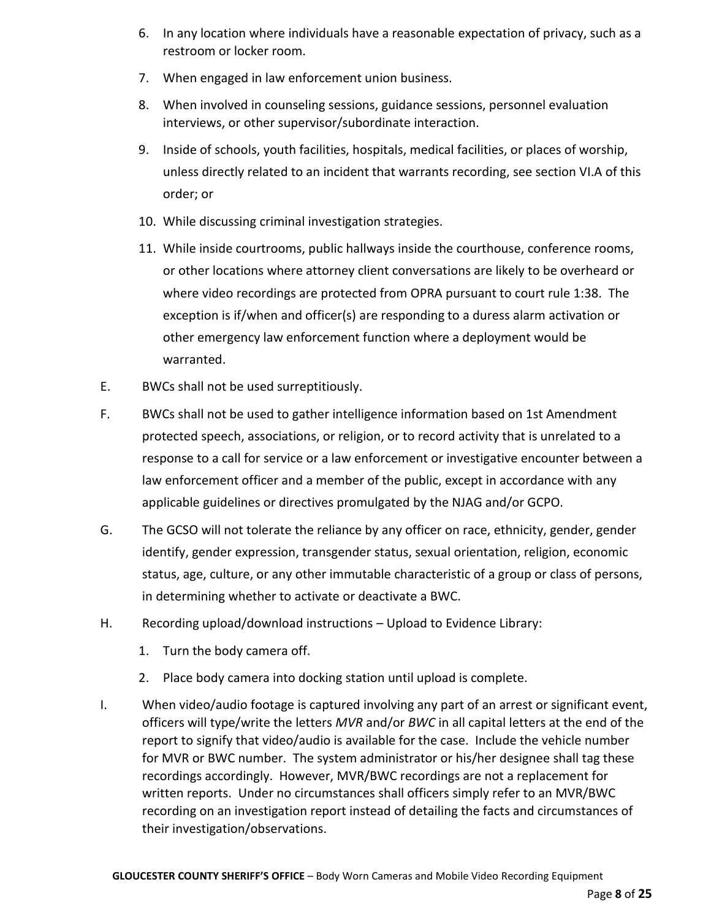- 6. In any location where individuals have a reasonable expectation of privacy, such as a restroom or locker room.
- 7. When engaged in law enforcement union business.
- 8. When involved in counseling sessions, guidance sessions, personnel evaluation interviews, or other supervisor/subordinate interaction.
- 9. Inside of schools, youth facilities, hospitals, medical facilities, or places of worship, unless directly related to an incident that warrants recording, see section VI.A of this order; or
- 10. While discussing criminal investigation strategies.
- 11. While inside courtrooms, public hallways inside the courthouse, conference rooms, or other locations where attorney client conversations are likely to be overheard or where video recordings are protected from OPRA pursuant to court rule 1:38. The exception is if/when and officer(s) are responding to a duress alarm activation or other emergency law enforcement function where a deployment would be warranted.
- E. BWCs shall not be used surreptitiously.
- F. BWCs shall not be used to gather intelligence information based on 1st Amendment protected speech, associations, or religion, or to record activity that is unrelated to a response to a call for service or a law enforcement or investigative encounter between a law enforcement officer and a member of the public, except in accordance with any applicable guidelines or directives promulgated by the NJAG and/or GCPO.
- G. The GCSO will not tolerate the reliance by any officer on race, ethnicity, gender, gender identify, gender expression, transgender status, sexual orientation, religion, economic status, age, culture, or any other immutable characteristic of a group or class of persons, in determining whether to activate or deactivate a BWC.
- H. Recording upload/download instructions Upload to Evidence Library:
	- 1. Turn the body camera off.
	- 2. Place body camera into docking station until upload is complete.
- I. When video/audio footage is captured involving any part of an arrest or significant event, officers will type/write the letters *MVR* and/or *BWC* in all capital letters at the end of the report to signify that video/audio is available for the case. Include the vehicle number for MVR or BWC number. The system administrator or his/her designee shall tag these recordings accordingly. However, MVR/BWC recordings are not a replacement for written reports. Under no circumstances shall officers simply refer to an MVR/BWC recording on an investigation report instead of detailing the facts and circumstances of their investigation/observations.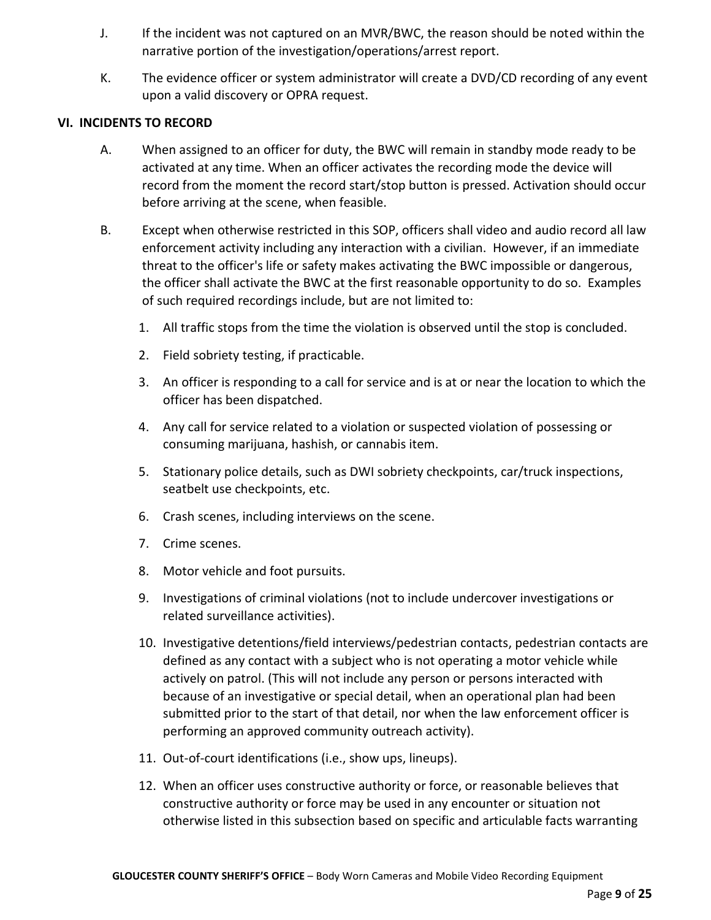- J. If the incident was not captured on an MVR/BWC, the reason should be noted within the narrative portion of the investigation/operations/arrest report.
- K. The evidence officer or system administrator will create a DVD/CD recording of any event upon a valid discovery or OPRA request.

## **VI. INCIDENTS TO RECORD**

- A. When assigned to an officer for duty, the BWC will remain in standby mode ready to be activated at any time. When an officer activates the recording mode the device will record from the moment the record start/stop button is pressed. Activation should occur before arriving at the scene, when feasible.
- B. Except when otherwise restricted in this SOP, officers shall video and audio record all law enforcement activity including any interaction with a civilian. However, if an immediate threat to the officer's life or safety makes activating the BWC impossible or dangerous, the officer shall activate the BWC at the first reasonable opportunity to do so. Examples of such required recordings include, but are not limited to:
	- 1. All traffic stops from the time the violation is observed until the stop is concluded.
	- 2. Field sobriety testing, if practicable.
	- 3. An officer is responding to a call for service and is at or near the location to which the officer has been dispatched.
	- 4. Any call for service related to a violation or suspected violation of possessing or consuming marijuana, hashish, or cannabis item.
	- 5. Stationary police details, such as DWI sobriety checkpoints, car/truck inspections, seatbelt use checkpoints, etc.
	- 6. Crash scenes, including interviews on the scene.
	- 7. Crime scenes.
	- 8. Motor vehicle and foot pursuits.
	- 9. Investigations of criminal violations (not to include undercover investigations or related surveillance activities).
	- 10. Investigative detentions/field interviews/pedestrian contacts, pedestrian contacts are defined as any contact with a subject who is not operating a motor vehicle while actively on patrol. (This will not include any person or persons interacted with because of an investigative or special detail, when an operational plan had been submitted prior to the start of that detail, nor when the law enforcement officer is performing an approved community outreach activity).
	- 11. Out-of-court identifications (i.e., show ups, lineups).
	- 12. When an officer uses constructive authority or force, or reasonable believes that constructive authority or force may be used in any encounter or situation not otherwise listed in this subsection based on specific and articulable facts warranting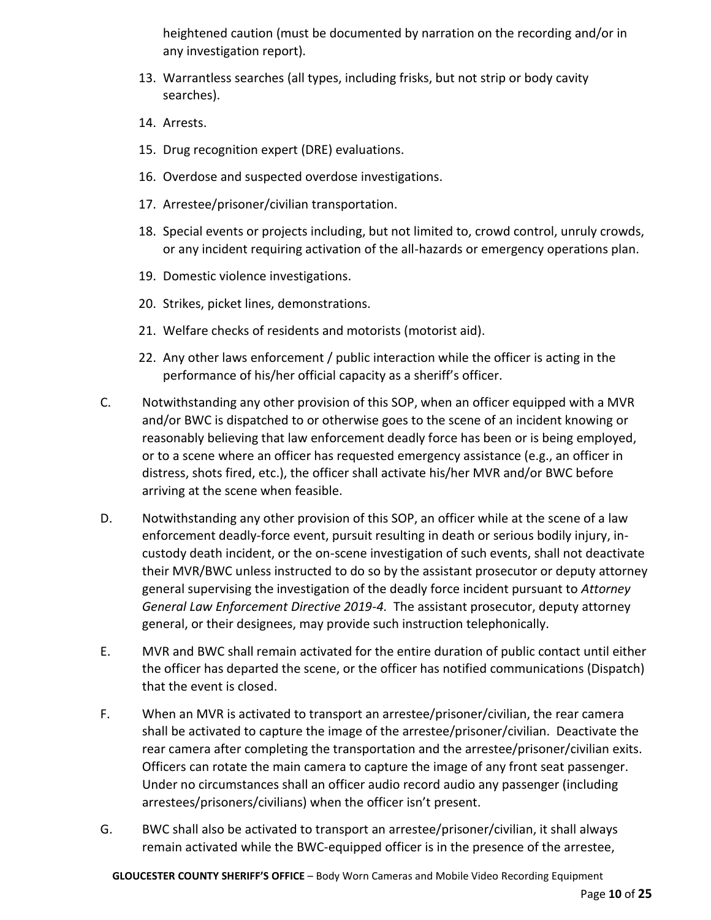heightened caution (must be documented by narration on the recording and/or in any investigation report).

- 13. Warrantless searches (all types, including frisks, but not strip or body cavity searches).
- 14. Arrests.
- 15. Drug recognition expert (DRE) evaluations.
- 16. Overdose and suspected overdose investigations.
- 17. Arrestee/prisoner/civilian transportation.
- 18. Special events or projects including, but not limited to, crowd control, unruly crowds, or any incident requiring activation of the all-hazards or emergency operations plan.
- 19. Domestic violence investigations.
- 20. Strikes, picket lines, demonstrations.
- 21. Welfare checks of residents and motorists (motorist aid).
- 22. Any other laws enforcement / public interaction while the officer is acting in the performance of his/her official capacity as a sheriff's officer.
- C. Notwithstanding any other provision of this SOP, when an officer equipped with a MVR and/or BWC is dispatched to or otherwise goes to the scene of an incident knowing or reasonably believing that law enforcement deadly force has been or is being employed, or to a scene where an officer has requested emergency assistance (e.g., an officer in distress, shots fired, etc.), the officer shall activate his/her MVR and/or BWC before arriving at the scene when feasible.
- D. Notwithstanding any other provision of this SOP, an officer while at the scene of a law enforcement deadly-force event, pursuit resulting in death or serious bodily injury, incustody death incident, or the on-scene investigation of such events, shall not deactivate their MVR/BWC unless instructed to do so by the assistant prosecutor or deputy attorney general supervising the investigation of the deadly force incident pursuant to *Attorney General Law Enforcement Directive 2019-4.* The assistant prosecutor, deputy attorney general, or their designees, may provide such instruction telephonically.
- E. MVR and BWC shall remain activated for the entire duration of public contact until either the officer has departed the scene, or the officer has notified communications (Dispatch) that the event is closed.
- F. When an MVR is activated to transport an arrestee/prisoner/civilian, the rear camera shall be activated to capture the image of the arrestee/prisoner/civilian. Deactivate the rear camera after completing the transportation and the arrestee/prisoner/civilian exits. Officers can rotate the main camera to capture the image of any front seat passenger. Under no circumstances shall an officer audio record audio any passenger (including arrestees/prisoners/civilians) when the officer isn't present.
- G. BWC shall also be activated to transport an arrestee/prisoner/civilian, it shall always remain activated while the BWC-equipped officer is in the presence of the arrestee,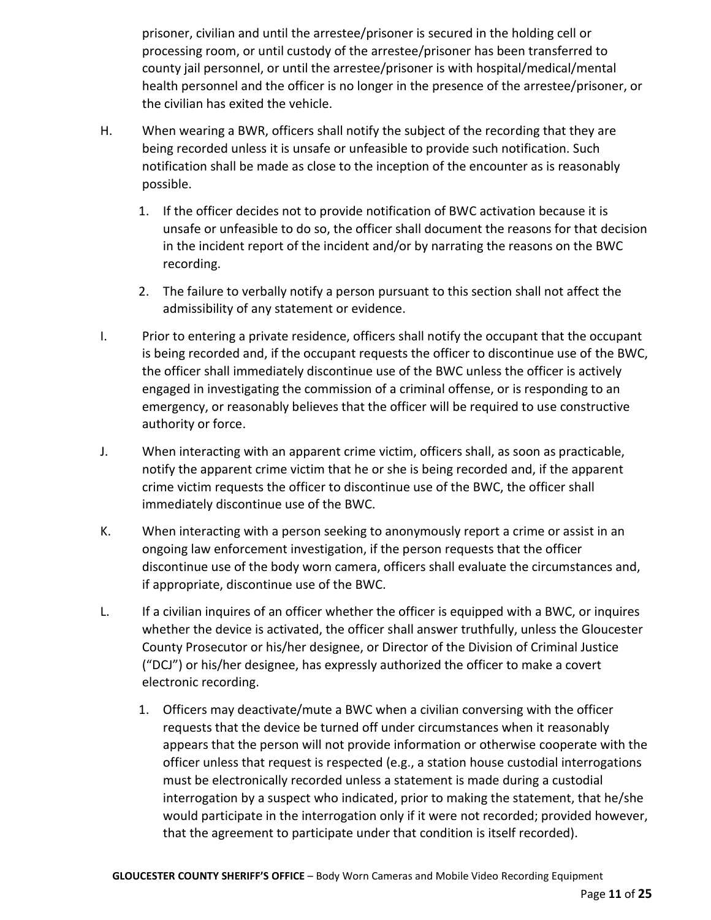prisoner, civilian and until the arrestee/prisoner is secured in the holding cell or processing room, or until custody of the arrestee/prisoner has been transferred to county jail personnel, or until the arrestee/prisoner is with hospital/medical/mental health personnel and the officer is no longer in the presence of the arrestee/prisoner, or the civilian has exited the vehicle.

- H. When wearing a BWR, officers shall notify the subject of the recording that they are being recorded unless it is unsafe or unfeasible to provide such notification. Such notification shall be made as close to the inception of the encounter as is reasonably possible.
	- 1. If the officer decides not to provide notification of BWC activation because it is unsafe or unfeasible to do so, the officer shall document the reasons for that decision in the incident report of the incident and/or by narrating the reasons on the BWC recording.
	- 2. The failure to verbally notify a person pursuant to this section shall not affect the admissibility of any statement or evidence.
- I. Prior to entering a private residence, officers shall notify the occupant that the occupant is being recorded and, if the occupant requests the officer to discontinue use of the BWC, the officer shall immediately discontinue use of the BWC unless the officer is actively engaged in investigating the commission of a criminal offense, or is responding to an emergency, or reasonably believes that the officer will be required to use constructive authority or force.
- J. When interacting with an apparent crime victim, officers shall, as soon as practicable, notify the apparent crime victim that he or she is being recorded and, if the apparent crime victim requests the officer to discontinue use of the BWC, the officer shall immediately discontinue use of the BWC.
- K. When interacting with a person seeking to anonymously report a crime or assist in an ongoing law enforcement investigation, if the person requests that the officer discontinue use of the body worn camera, officers shall evaluate the circumstances and, if appropriate, discontinue use of the BWC.
- L. If a civilian inquires of an officer whether the officer is equipped with a BWC, or inquires whether the device is activated, the officer shall answer truthfully, unless the Gloucester County Prosecutor or his/her designee, or Director of the Division of Criminal Justice ("DCJ") or his/her designee, has expressly authorized the officer to make a covert electronic recording.
	- 1. Officers may deactivate/mute a BWC when a civilian conversing with the officer requests that the device be turned off under circumstances when it reasonably appears that the person will not provide information or otherwise cooperate with the officer unless that request is respected (e.g., a station house custodial interrogations must be electronically recorded unless a statement is made during a custodial interrogation by a suspect who indicated, prior to making the statement, that he/she would participate in the interrogation only if it were not recorded; provided however, that the agreement to participate under that condition is itself recorded).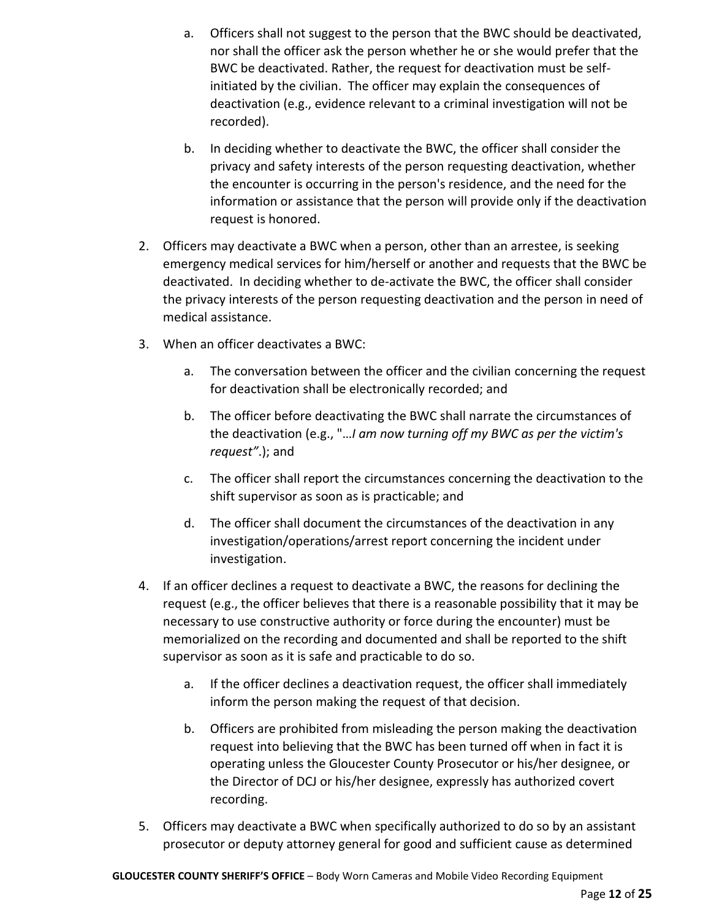- a. Officers shall not suggest to the person that the BWC should be deactivated, nor shall the officer ask the person whether he or she would prefer that the BWC be deactivated. Rather, the request for deactivation must be selfinitiated by the civilian. The officer may explain the consequences of deactivation (e.g., evidence relevant to a criminal investigation will not be recorded).
- b. In deciding whether to deactivate the BWC, the officer shall consider the privacy and safety interests of the person requesting deactivation, whether the encounter is occurring in the person's residence, and the need for the information or assistance that the person will provide only if the deactivation request is honored.
- 2. Officers may deactivate a BWC when a person, other than an arrestee, is seeking emergency medical services for him/herself or another and requests that the BWC be deactivated. In deciding whether to de-activate the BWC, the officer shall consider the privacy interests of the person requesting deactivation and the person in need of medical assistance.
- 3. When an officer deactivates a BWC:
	- a. The conversation between the officer and the civilian concerning the request for deactivation shall be electronically recorded; and
	- b. The officer before deactivating the BWC shall narrate the circumstances of the deactivation (e.g., "…*I am now turning off my BWC as per the victim's request"*.); and
	- c. The officer shall report the circumstances concerning the deactivation to the shift supervisor as soon as is practicable; and
	- d. The officer shall document the circumstances of the deactivation in any investigation/operations/arrest report concerning the incident under investigation.
- 4. If an officer declines a request to deactivate a BWC, the reasons for declining the request (e.g., the officer believes that there is a reasonable possibility that it may be necessary to use constructive authority or force during the encounter) must be memorialized on the recording and documented and shall be reported to the shift supervisor as soon as it is safe and practicable to do so.
	- a. If the officer declines a deactivation request, the officer shall immediately inform the person making the request of that decision.
	- b. Officers are prohibited from misleading the person making the deactivation request into believing that the BWC has been turned off when in fact it is operating unless the Gloucester County Prosecutor or his/her designee, or the Director of DCJ or his/her designee, expressly has authorized covert recording.
- 5. Officers may deactivate a BWC when specifically authorized to do so by an assistant prosecutor or deputy attorney general for good and sufficient cause as determined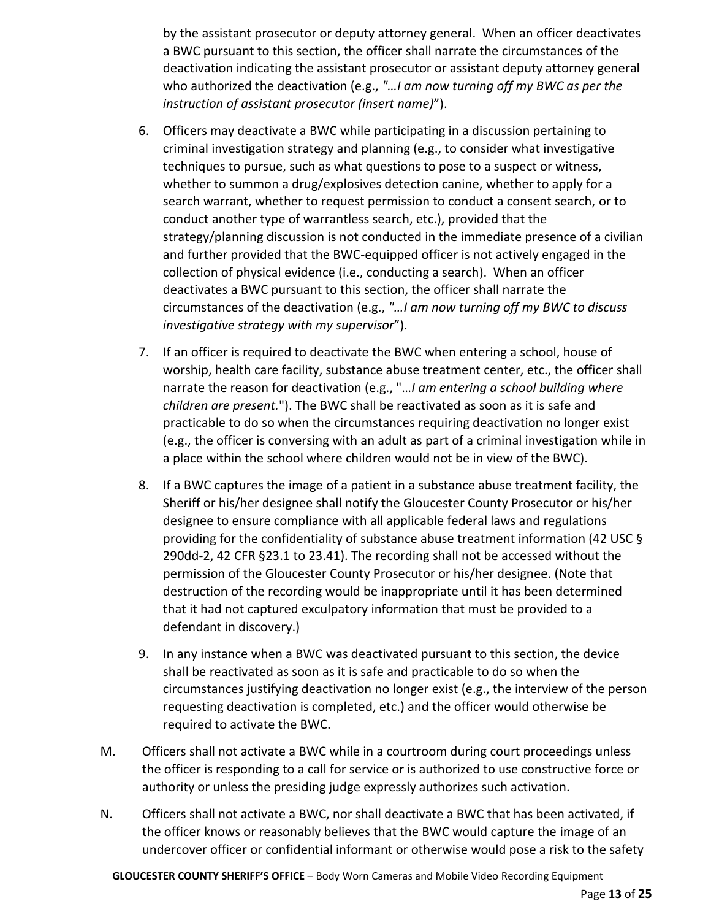by the assistant prosecutor or deputy attorney general. When an officer deactivates a BWC pursuant to this section, the officer shall narrate the circumstances of the deactivation indicating the assistant prosecutor or assistant deputy attorney general who authorized the deactivation (e.g., *"…I am now turning off my BWC as per the instruction of assistant prosecutor (insert name)*").

- 6. Officers may deactivate a BWC while participating in a discussion pertaining to criminal investigation strategy and planning (e.g., to consider what investigative techniques to pursue, such as what questions to pose to a suspect or witness, whether to summon a drug/explosives detection canine, whether to apply for a search warrant, whether to request permission to conduct a consent search, or to conduct another type of warrantless search, etc.), provided that the strategy/planning discussion is not conducted in the immediate presence of a civilian and further provided that the BWC-equipped officer is not actively engaged in the collection of physical evidence (i.e., conducting a search). When an officer deactivates a BWC pursuant to this section, the officer shall narrate the circumstances of the deactivation (e.g., *"…I am now turning off my BWC to discuss investigative strategy with my supervisor*").
- 7. If an officer is required to deactivate the BWC when entering a school, house of worship, health care facility, substance abuse treatment center, etc., the officer shall narrate the reason for deactivation (e.g., "…*I am entering a school building where children are present.*"). The BWC shall be reactivated as soon as it is safe and practicable to do so when the circumstances requiring deactivation no longer exist (e.g., the officer is conversing with an adult as part of a criminal investigation while in a place within the school where children would not be in view of the BWC).
- 8. If a BWC captures the image of a patient in a substance abuse treatment facility, the Sheriff or his/her designee shall notify the Gloucester County Prosecutor or his/her designee to ensure compliance with all applicable federal laws and regulations providing for the confidentiality of substance abuse treatment information (42 USC § 290dd-2, 42 CFR §23.1 to 23.41). The recording shall not be accessed without the permission of the Gloucester County Prosecutor or his/her designee. (Note that destruction of the recording would be inappropriate until it has been determined that it had not captured exculpatory information that must be provided to a defendant in discovery.)
- 9. In any instance when a BWC was deactivated pursuant to this section, the device shall be reactivated as soon as it is safe and practicable to do so when the circumstances justifying deactivation no longer exist (e.g., the interview of the person requesting deactivation is completed, etc.) and the officer would otherwise be required to activate the BWC.
- M. Officers shall not activate a BWC while in a courtroom during court proceedings unless the officer is responding to a call for service or is authorized to use constructive force or authority or unless the presiding judge expressly authorizes such activation.
- N. Officers shall not activate a BWC, nor shall deactivate a BWC that has been activated, if the officer knows or reasonably believes that the BWC would capture the image of an undercover officer or confidential informant or otherwise would pose a risk to the safety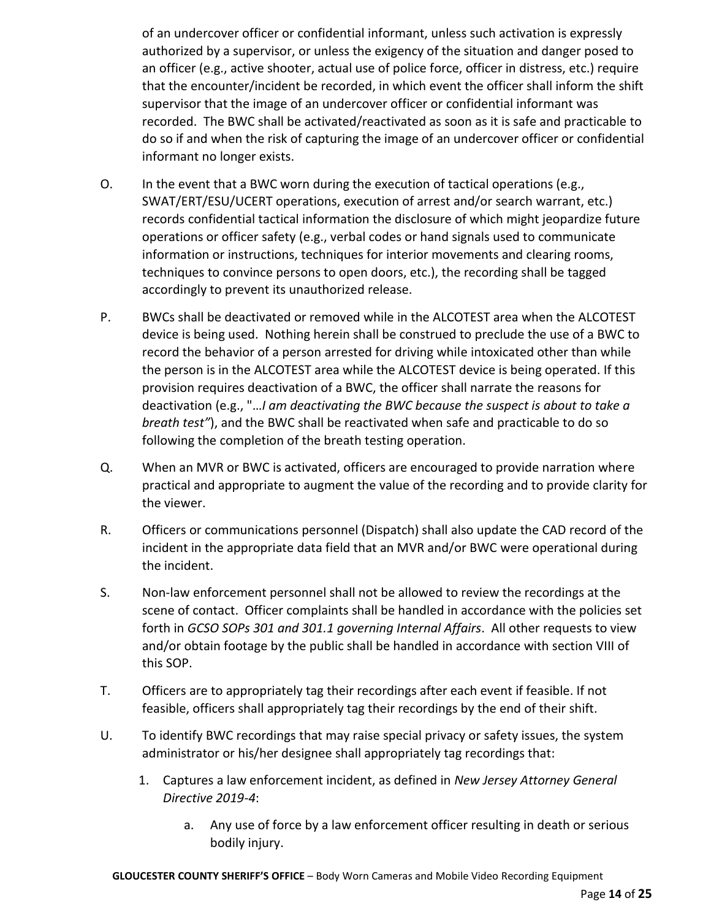of an undercover officer or confidential informant, unless such activation is expressly authorized by a supervisor, or unless the exigency of the situation and danger posed to an officer (e.g., active shooter, actual use of police force, officer in distress, etc.) require that the encounter/incident be recorded, in which event the officer shall inform the shift supervisor that the image of an undercover officer or confidential informant was recorded. The BWC shall be activated/reactivated as soon as it is safe and practicable to do so if and when the risk of capturing the image of an undercover officer or confidential informant no longer exists.

- O. In the event that a BWC worn during the execution of tactical operations (e.g., SWAT/ERT/ESU/UCERT operations, execution of arrest and/or search warrant, etc.) records confidential tactical information the disclosure of which might jeopardize future operations or officer safety (e.g., verbal codes or hand signals used to communicate information or instructions, techniques for interior movements and clearing rooms, techniques to convince persons to open doors, etc.), the recording shall be tagged accordingly to prevent its unauthorized release.
- P. BWCs shall be deactivated or removed while in the ALCOTEST area when the ALCOTEST device is being used. Nothing herein shall be construed to preclude the use of a BWC to record the behavior of a person arrested for driving while intoxicated other than while the person is in the ALCOTEST area while the ALCOTEST device is being operated. If this provision requires deactivation of a BWC, the officer shall narrate the reasons for deactivation (e.g., "…*I am deactivating the BWC because the suspect is about to take a breath test"*), and the BWC shall be reactivated when safe and practicable to do so following the completion of the breath testing operation.
- Q. When an MVR or BWC is activated, officers are encouraged to provide narration where practical and appropriate to augment the value of the recording and to provide clarity for the viewer.
- R. Officers or communications personnel (Dispatch) shall also update the CAD record of the incident in the appropriate data field that an MVR and/or BWC were operational during the incident.
- S. Non-law enforcement personnel shall not be allowed to review the recordings at the scene of contact. Officer complaints shall be handled in accordance with the policies set forth in *GCSO SOPs 301 and 301.1 governing Internal Affairs*. All other requests to view and/or obtain footage by the public shall be handled in accordance with section VIII of this SOP.
- T. Officers are to appropriately tag their recordings after each event if feasible. If not feasible, officers shall appropriately tag their recordings by the end of their shift.
- U. To identify BWC recordings that may raise special privacy or safety issues, the system administrator or his/her designee shall appropriately tag recordings that:
	- 1. Captures a law enforcement incident, as defined in *New Jersey Attorney General Directive 2019-4*:
		- a. Any use of force by a law enforcement officer resulting in death or serious bodily injury.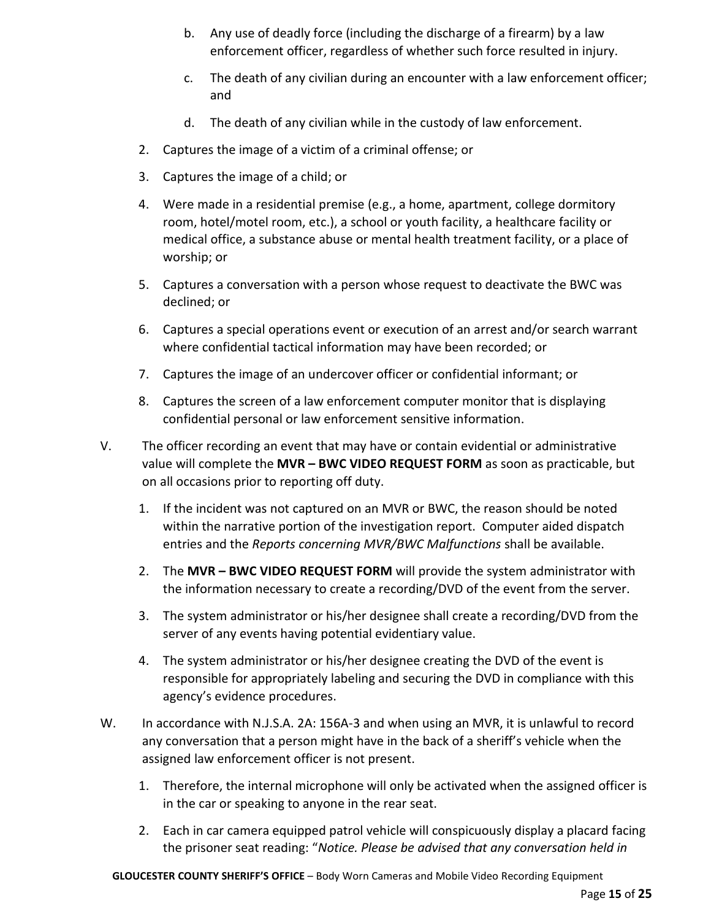- b. Any use of deadly force (including the discharge of a firearm) by a law enforcement officer, regardless of whether such force resulted in injury.
- c. The death of any civilian during an encounter with a law enforcement officer; and
- d. The death of any civilian while in the custody of law enforcement.
- 2. Captures the image of a victim of a criminal offense; or
- 3. Captures the image of a child; or
- 4. Were made in a residential premise (e.g., a home, apartment, college dormitory room, hotel/motel room, etc.), a school or youth facility, a healthcare facility or medical office, a substance abuse or mental health treatment facility, or a place of worship; or
- 5. Captures a conversation with a person whose request to deactivate the BWC was declined; or
- 6. Captures a special operations event or execution of an arrest and/or search warrant where confidential tactical information may have been recorded; or
- 7. Captures the image of an undercover officer or confidential informant; or
- 8. Captures the screen of a law enforcement computer monitor that is displaying confidential personal or law enforcement sensitive information.
- V. The officer recording an event that may have or contain evidential or administrative value will complete the **MVR – BWC VIDEO REQUEST FORM** as soon as practicable, but on all occasions prior to reporting off duty.
	- 1. If the incident was not captured on an MVR or BWC, the reason should be noted within the narrative portion of the investigation report. Computer aided dispatch entries and the *Reports concerning MVR/BWC Malfunctions* shall be available.
	- 2. The **MVR – BWC VIDEO REQUEST FORM** will provide the system administrator with the information necessary to create a recording/DVD of the event from the server.
	- 3. The system administrator or his/her designee shall create a recording/DVD from the server of any events having potential evidentiary value.
	- 4. The system administrator or his/her designee creating the DVD of the event is responsible for appropriately labeling and securing the DVD in compliance with this agency's evidence procedures.
- W. In accordance with N.J.S.A. 2A: 156A-3 and when using an MVR, it is unlawful to record any conversation that a person might have in the back of a sheriff's vehicle when the assigned law enforcement officer is not present.
	- 1. Therefore, the internal microphone will only be activated when the assigned officer is in the car or speaking to anyone in the rear seat.
	- 2. Each in car camera equipped patrol vehicle will conspicuously display a placard facing the prisoner seat reading: "*Notice. Please be advised that any conversation held in*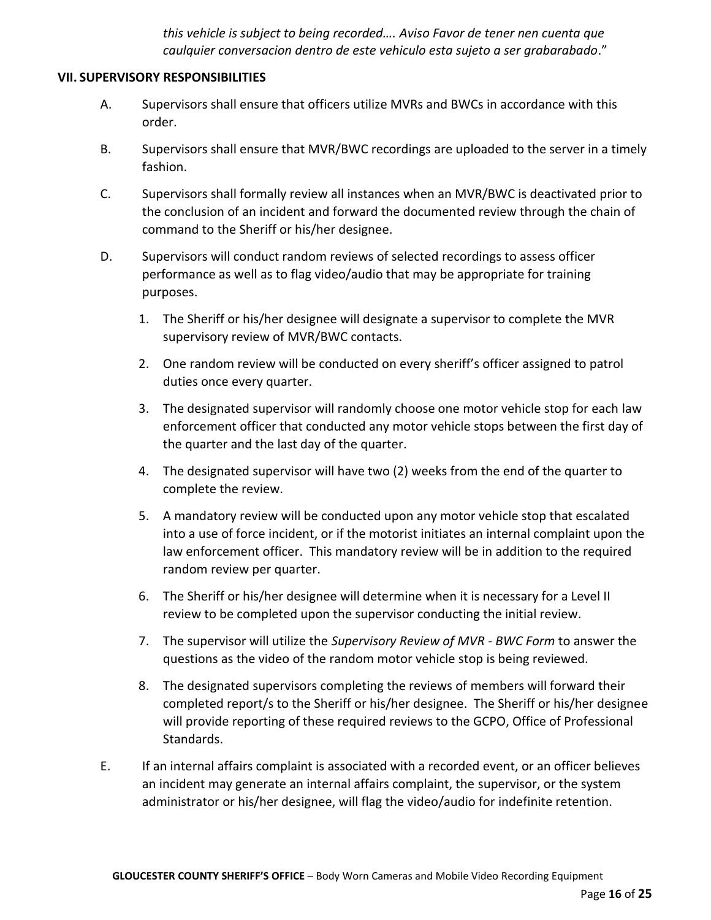*this vehicle is subject to being recorded…. Aviso Favor de tener nen cuenta que caulquier conversacion dentro de este vehiculo esta sujeto a ser grabarabado*."

### **VII. SUPERVISORY RESPONSIBILITIES**

- A. Supervisors shall ensure that officers utilize MVRs and BWCs in accordance with this order.
- B. Supervisors shall ensure that MVR/BWC recordings are uploaded to the server in a timely fashion.
- C. Supervisors shall formally review all instances when an MVR/BWC is deactivated prior to the conclusion of an incident and forward the documented review through the chain of command to the Sheriff or his/her designee.
- D. Supervisors will conduct random reviews of selected recordings to assess officer performance as well as to flag video/audio that may be appropriate for training purposes.
	- 1. The Sheriff or his/her designee will designate a supervisor to complete the MVR supervisory review of MVR/BWC contacts.
	- 2. One random review will be conducted on every sheriff's officer assigned to patrol duties once every quarter.
	- 3. The designated supervisor will randomly choose one motor vehicle stop for each law enforcement officer that conducted any motor vehicle stops between the first day of the quarter and the last day of the quarter.
	- 4. The designated supervisor will have two (2) weeks from the end of the quarter to complete the review.
	- 5. A mandatory review will be conducted upon any motor vehicle stop that escalated into a use of force incident, or if the motorist initiates an internal complaint upon the law enforcement officer. This mandatory review will be in addition to the required random review per quarter.
	- 6. The Sheriff or his/her designee will determine when it is necessary for a Level II review to be completed upon the supervisor conducting the initial review.
	- 7. The supervisor will utilize the *Supervisory Review of MVR - BWC Form* to answer the questions as the video of the random motor vehicle stop is being reviewed.
	- 8. The designated supervisors completing the reviews of members will forward their completed report/s to the Sheriff or his/her designee. The Sheriff or his/her designee will provide reporting of these required reviews to the GCPO, Office of Professional Standards.
- E. If an internal affairs complaint is associated with a recorded event, or an officer believes an incident may generate an internal affairs complaint, the supervisor, or the system administrator or his/her designee, will flag the video/audio for indefinite retention.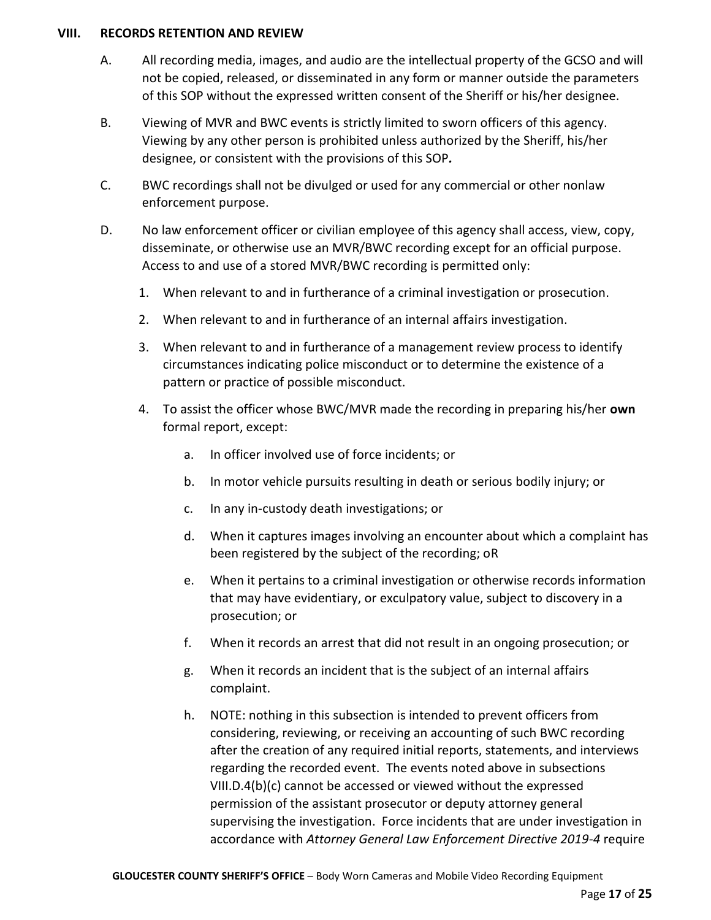### **VIII. RECORDS RETENTION AND REVIEW**

- A. All recording media, images, and audio are the intellectual property of the GCSO and will not be copied, released, or disseminated in any form or manner outside the parameters of this SOP without the expressed written consent of the Sheriff or his/her designee.
- B. Viewing of MVR and BWC events is strictly limited to sworn officers of this agency. Viewing by any other person is prohibited unless authorized by the Sheriff, his/her designee, or consistent with the provisions of this SOP*.*
- C. BWC recordings shall not be divulged or used for any commercial or other nonlaw enforcement purpose.
- D. No law enforcement officer or civilian employee of this agency shall access, view, copy, disseminate, or otherwise use an MVR/BWC recording except for an official purpose. Access to and use of a stored MVR/BWC recording is permitted only:
	- 1. When relevant to and in furtherance of a criminal investigation or prosecution.
	- 2. When relevant to and in furtherance of an internal affairs investigation.
	- 3. When relevant to and in furtherance of a management review process to identify circumstances indicating police misconduct or to determine the existence of a pattern or practice of possible misconduct.
	- 4. To assist the officer whose BWC/MVR made the recording in preparing his/her **own** formal report, except:
		- a. In officer involved use of force incidents; or
		- b. In motor vehicle pursuits resulting in death or serious bodily injury; or
		- c. In any in-custody death investigations; or
		- d. When it captures images involving an encounter about which a complaint has been registered by the subject of the recording; oR
		- e. When it pertains to a criminal investigation or otherwise records information that may have evidentiary, or exculpatory value, subject to discovery in a prosecution; or
		- f. When it records an arrest that did not result in an ongoing prosecution; or
		- g. When it records an incident that is the subject of an internal affairs complaint.
		- h. NOTE: nothing in this subsection is intended to prevent officers from considering, reviewing, or receiving an accounting of such BWC recording after the creation of any required initial reports, statements, and interviews regarding the recorded event. The events noted above in subsections VIII.D.4(b)(c) cannot be accessed or viewed without the expressed permission of the assistant prosecutor or deputy attorney general supervising the investigation. Force incidents that are under investigation in accordance with *Attorney General Law Enforcement Directive 2019-4* require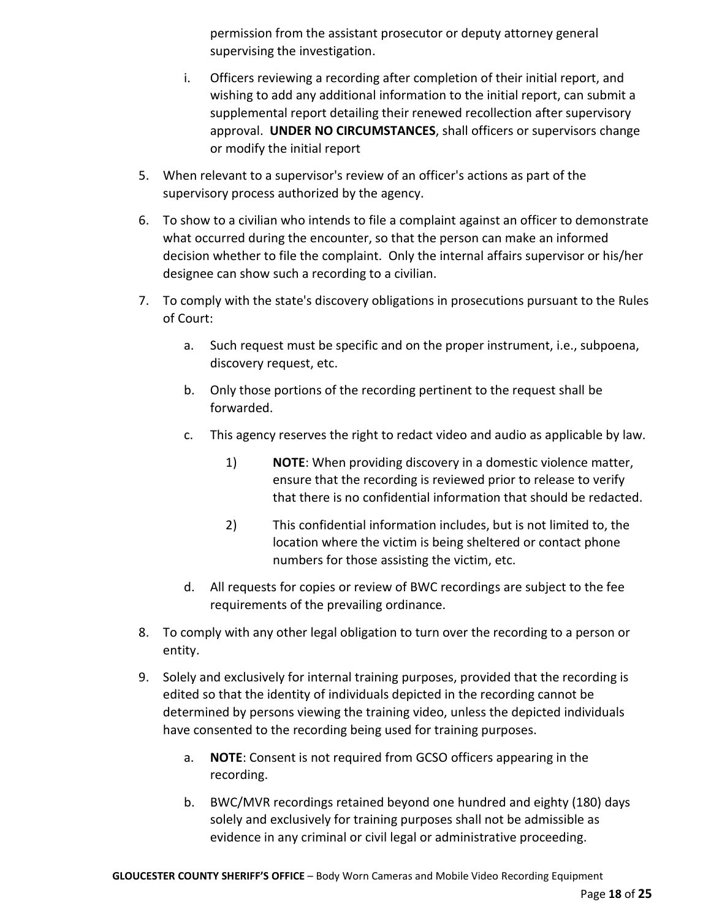permission from the assistant prosecutor or deputy attorney general supervising the investigation.

- i. Officers reviewing a recording after completion of their initial report, and wishing to add any additional information to the initial report, can submit a supplemental report detailing their renewed recollection after supervisory approval. **UNDER NO CIRCUMSTANCES**, shall officers or supervisors change or modify the initial report
- 5. When relevant to a supervisor's review of an officer's actions as part of the supervisory process authorized by the agency.
- 6. To show to a civilian who intends to file a complaint against an officer to demonstrate what occurred during the encounter, so that the person can make an informed decision whether to file the complaint. Only the internal affairs supervisor or his/her designee can show such a recording to a civilian.
- 7. To comply with the state's discovery obligations in prosecutions pursuant to the Rules of Court:
	- a. Such request must be specific and on the proper instrument, i.e., subpoena, discovery request, etc.
	- b. Only those portions of the recording pertinent to the request shall be forwarded.
	- c. This agency reserves the right to redact video and audio as applicable by law.
		- 1) **NOTE**: When providing discovery in a domestic violence matter, ensure that the recording is reviewed prior to release to verify that there is no confidential information that should be redacted.
		- 2) This confidential information includes, but is not limited to, the location where the victim is being sheltered or contact phone numbers for those assisting the victim, etc.
	- d. All requests for copies or review of BWC recordings are subject to the fee requirements of the prevailing ordinance.
- 8. To comply with any other legal obligation to turn over the recording to a person or entity.
- 9. Solely and exclusively for internal training purposes, provided that the recording is edited so that the identity of individuals depicted in the recording cannot be determined by persons viewing the training video, unless the depicted individuals have consented to the recording being used for training purposes.
	- a. **NOTE**: Consent is not required from GCSO officers appearing in the recording.
	- b. BWC/MVR recordings retained beyond one hundred and eighty (180) days solely and exclusively for training purposes shall not be admissible as evidence in any criminal or civil legal or administrative proceeding.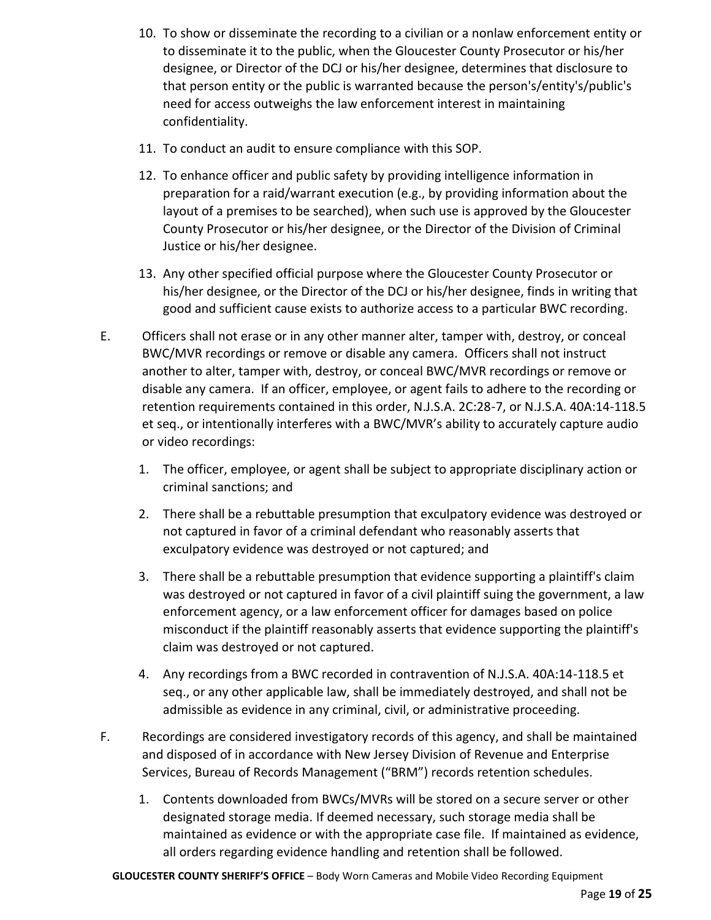- 10. To show or disseminate the recording to a civilian or a nonlaw enforcement entity or to disseminate it to the public, when the Gloucester County Prosecutor or his/her designee, or Director of the DCJ or his/her designee, determines that disclosure to that person entity or the public is warranted because the person's/entity's/public's need for access outweighs the law enforcement interest in maintaining confidentiality.
- 11. To conduct an audit to ensure compliance with this SOP.
- 12. To enhance officer and public safety by providing intelligence information in preparation for a raid/warrant execution (e.g., by providing information about the layout of a premises to be searched), when such use is approved by the Gloucester County Prosecutor or his/her designee, or the Director of the Division of Criminal Justice or his/her designee.
- 13. Any other specified official purpose where the Gloucester County Prosecutor or his/her designee, or the Director of the DCJ or his/her designee, finds in writing that good and sufficient cause exists to authorize access to a particular BWC recording.
- E. Officers shall not erase or in any other manner alter, tamper with, destroy, or conceal BWC/MVR recordings or remove or disable any camera. Officers shall not instruct another to alter, tamper with, destroy, or conceal BWC/MVR recordings or remove or disable any camera. If an officer, employee, or agent fails to adhere to the recording or retention requirements contained in this order, N.J.S.A. 2C:28-7, or N.J.S.A. 40A:14-118.5 et seq., or intentionally interferes with a BWC/MVR's ability to accurately capture audio or video recordings:
	- 1. The officer, employee, or agent shall be subject to appropriate disciplinary action or criminal sanctions; and
	- 2. There shall be a rebuttable presumption that exculpatory evidence was destroyed or not captured in favor of a criminal defendant who reasonably asserts that exculpatory evidence was destroyed or not captured; and
	- 3. There shall be a rebuttable presumption that evidence supporting a plaintiff's claim was destroyed or not captured in favor of a civil plaintiff suing the government, a law enforcement agency, or a law enforcement officer for damages based on police misconduct if the plaintiff reasonably asserts that evidence supporting the plaintiff's claim was destroyed or not captured.
	- 4. Any recordings from a BWC recorded in contravention of N.J.S.A. 40A:14-118.5 et seq., or any other applicable law, shall be immediately destroyed, and shall not be admissible as evidence in any criminal, civil, or administrative proceeding.
- F. Recordings are considered investigatory records of this agency, and shall be maintained and disposed of in accordance with New Jersey Division of Revenue and Enterprise Services, Bureau of Records Management ("BRM") records retention schedules.
	- 1. Contents downloaded from BWCs/MVRs will be stored on a secure server or other designated storage media. If deemed necessary, such storage media shall be maintained as evidence or with the appropriate case file. If maintained as evidence, all orders regarding evidence handling and retention shall be followed.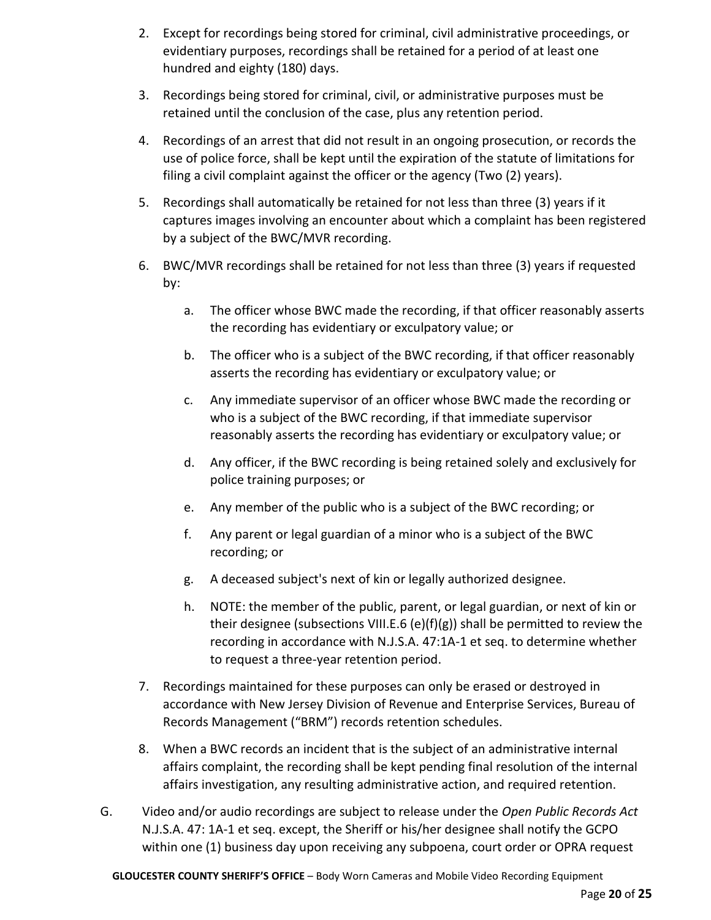- 2. Except for recordings being stored for criminal, civil administrative proceedings, or evidentiary purposes, recordings shall be retained for a period of at least one hundred and eighty (180) days.
- 3. Recordings being stored for criminal, civil, or administrative purposes must be retained until the conclusion of the case, plus any retention period.
- 4. Recordings of an arrest that did not result in an ongoing prosecution, or records the use of police force, shall be kept until the expiration of the statute of limitations for filing a civil complaint against the officer or the agency (Two (2) years).
- 5. Recordings shall automatically be retained for not less than three (3) years if it captures images involving an encounter about which a complaint has been registered by a subject of the BWC/MVR recording.
- 6. BWC/MVR recordings shall be retained for not less than three (3) years if requested by:
	- a. The officer whose BWC made the recording, if that officer reasonably asserts the recording has evidentiary or exculpatory value; or
	- b. The officer who is a subject of the BWC recording, if that officer reasonably asserts the recording has evidentiary or exculpatory value; or
	- c. Any immediate supervisor of an officer whose BWC made the recording or who is a subject of the BWC recording, if that immediate supervisor reasonably asserts the recording has evidentiary or exculpatory value; or
	- d. Any officer, if the BWC recording is being retained solely and exclusively for police training purposes; or
	- e. Any member of the public who is a subject of the BWC recording; or
	- f. Any parent or legal guardian of a minor who is a subject of the BWC recording; or
	- g. A deceased subject's next of kin or legally authorized designee.
	- h. NOTE: the member of the public, parent, or legal guardian, or next of kin or their designee (subsections VIII.E.6 (e)(f)(g)) shall be permitted to review the recording in accordance with N.J.S.A. 47:1A-1 et seq. to determine whether to request a three-year retention period.
- 7. Recordings maintained for these purposes can only be erased or destroyed in accordance with New Jersey Division of Revenue and Enterprise Services, Bureau of Records Management ("BRM") records retention schedules.
- 8. When a BWC records an incident that is the subject of an administrative internal affairs complaint, the recording shall be kept pending final resolution of the internal affairs investigation, any resulting administrative action, and required retention.
- G. Video and/or audio recordings are subject to release under the *Open Public Records Act* N.J.S.A. 47: 1A-1 et seq. except, the Sheriff or his/her designee shall notify the GCPO within one (1) business day upon receiving any subpoena, court order or OPRA request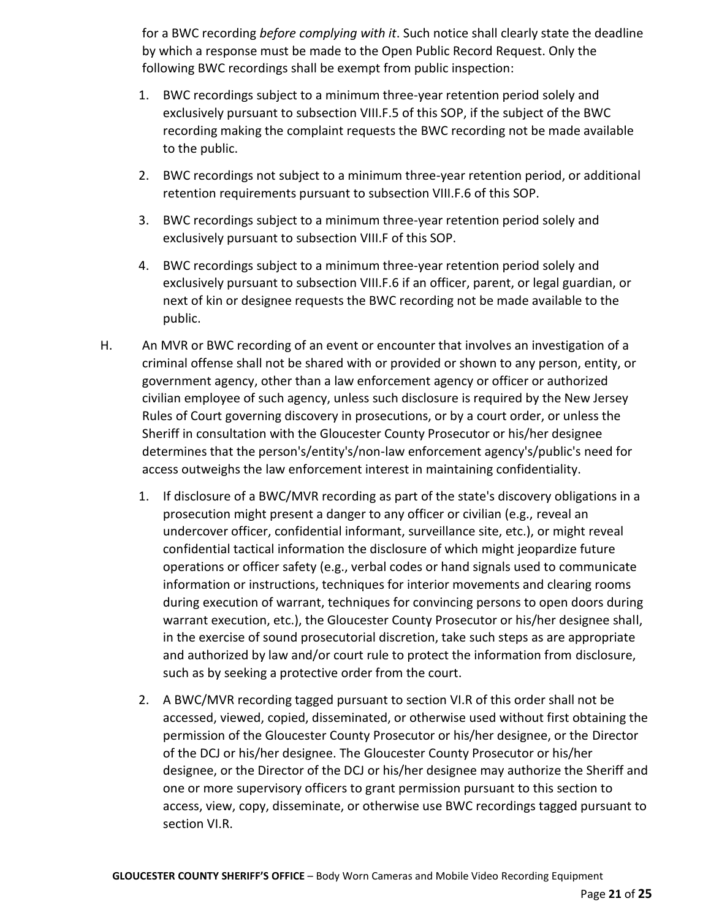for a BWC recording *before complying with it*. Such notice shall clearly state the deadline by which a response must be made to the Open Public Record Request. Only the following BWC recordings shall be exempt from public inspection:

- 1. BWC recordings subject to a minimum three-year retention period solely and exclusively pursuant to subsection VIII.F.5 of this SOP, if the subject of the BWC recording making the complaint requests the BWC recording not be made available to the public.
- 2. BWC recordings not subject to a minimum three-year retention period, or additional retention requirements pursuant to subsection VIII.F.6 of this SOP.
- 3. BWC recordings subject to a minimum three-year retention period solely and exclusively pursuant to subsection VIII.F of this SOP.
- 4. BWC recordings subject to a minimum three-year retention period solely and exclusively pursuant to subsection VIII.F.6 if an officer, parent, or legal guardian, or next of kin or designee requests the BWC recording not be made available to the public.
- H. An MVR or BWC recording of an event or encounter that involves an investigation of a criminal offense shall not be shared with or provided or shown to any person, entity, or government agency, other than a law enforcement agency or officer or authorized civilian employee of such agency, unless such disclosure is required by the New Jersey Rules of Court governing discovery in prosecutions, or by a court order, or unless the Sheriff in consultation with the Gloucester County Prosecutor or his/her designee determines that the person's/entity's/non-law enforcement agency's/public's need for access outweighs the law enforcement interest in maintaining confidentiality.
	- 1. If disclosure of a BWC/MVR recording as part of the state's discovery obligations in a prosecution might present a danger to any officer or civilian (e.g., reveal an undercover officer, confidential informant, surveillance site, etc.), or might reveal confidential tactical information the disclosure of which might jeopardize future operations or officer safety (e.g., verbal codes or hand signals used to communicate information or instructions, techniques for interior movements and clearing rooms during execution of warrant, techniques for convincing persons to open doors during warrant execution, etc.), the Gloucester County Prosecutor or his/her designee shall, in the exercise of sound prosecutorial discretion, take such steps as are appropriate and authorized by law and/or court rule to protect the information from disclosure, such as by seeking a protective order from the court.
	- 2. A BWC/MVR recording tagged pursuant to section VI.R of this order shall not be accessed, viewed, copied, disseminated, or otherwise used without first obtaining the permission of the Gloucester County Prosecutor or his/her designee, or the Director of the DCJ or his/her designee. The Gloucester County Prosecutor or his/her designee, or the Director of the DCJ or his/her designee may authorize the Sheriff and one or more supervisory officers to grant permission pursuant to this section to access, view, copy, disseminate, or otherwise use BWC recordings tagged pursuant to section VI.R.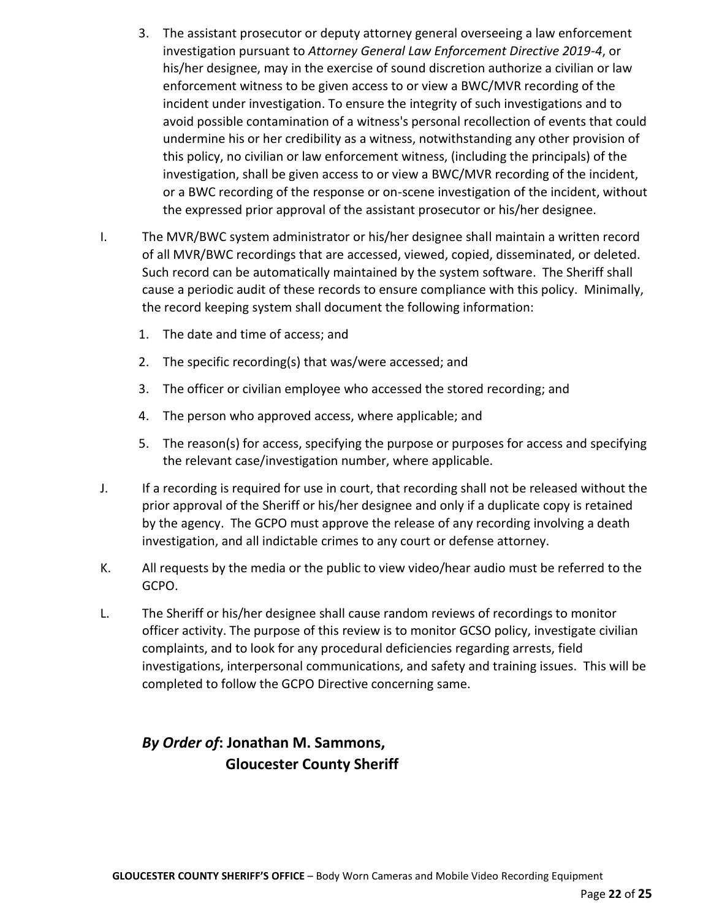- 3. The assistant prosecutor or deputy attorney general overseeing a law enforcement investigation pursuant to *Attorney General Law Enforcement Directive 2019-4*, or his/her designee, may in the exercise of sound discretion authorize a civilian or law enforcement witness to be given access to or view a BWC/MVR recording of the incident under investigation. To ensure the integrity of such investigations and to avoid possible contamination of a witness's personal recollection of events that could undermine his or her credibility as a witness, notwithstanding any other provision of this policy, no civilian or law enforcement witness, (including the principals) of the investigation, shall be given access to or view a BWC/MVR recording of the incident, or a BWC recording of the response or on-scene investigation of the incident, without the expressed prior approval of the assistant prosecutor or his/her designee.
- I. The MVR/BWC system administrator or his/her designee shall maintain a written record of all MVR/BWC recordings that are accessed, viewed, copied, disseminated, or deleted. Such record can be automatically maintained by the system software. The Sheriff shall cause a periodic audit of these records to ensure compliance with this policy. Minimally, the record keeping system shall document the following information:
	- 1. The date and time of access; and
	- 2. The specific recording(s) that was/were accessed; and
	- 3. The officer or civilian employee who accessed the stored recording; and
	- 4. The person who approved access, where applicable; and
	- 5. The reason(s) for access, specifying the purpose or purposes for access and specifying the relevant case/investigation number, where applicable.
- J. If a recording is required for use in court, that recording shall not be released without the prior approval of the Sheriff or his/her designee and only if a duplicate copy is retained by the agency. The GCPO must approve the release of any recording involving a death investigation, and all indictable crimes to any court or defense attorney.
- K. All requests by the media or the public to view video/hear audio must be referred to the GCPO.
- L. The Sheriff or his/her designee shall cause random reviews of recordings to monitor officer activity. The purpose of this review is to monitor GCSO policy, investigate civilian complaints, and to look for any procedural deficiencies regarding arrests, field investigations, interpersonal communications, and safety and training issues. This will be completed to follow the GCPO Directive concerning same.

# *By Order of***: Jonathan M. Sammons, Gloucester County Sheriff**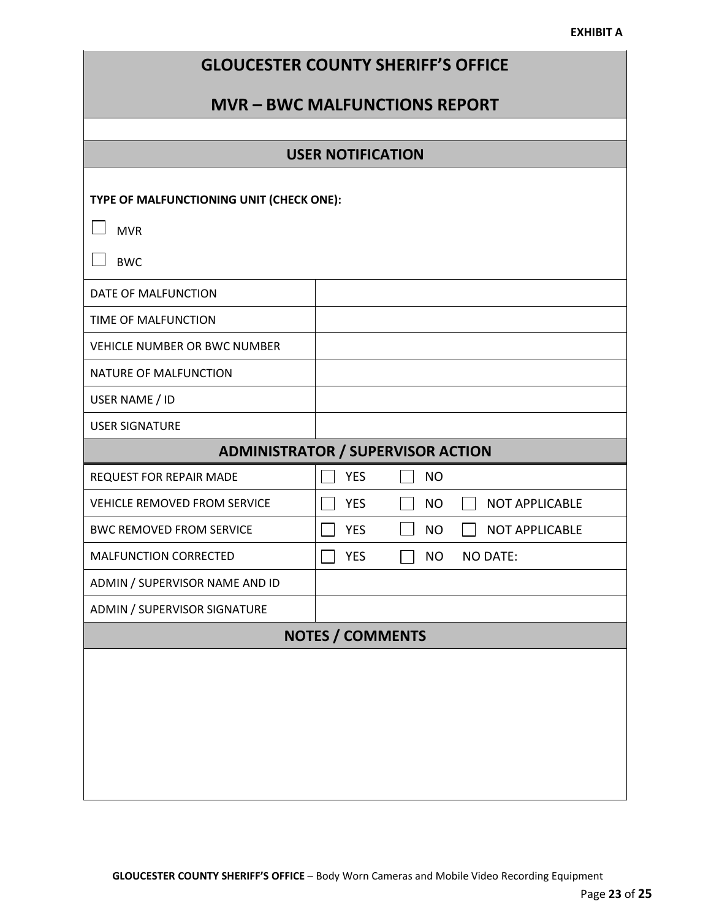#### **EXHIBIT A**

| <b>GLOUCESTER COUNTY SHERIFF'S OFFICE</b> |  |  |  |
|-------------------------------------------|--|--|--|
|-------------------------------------------|--|--|--|

# **MVR – BWC MALFUNCTIONS REPORT**

|                                          | <b>USER NOTIFICATION</b>                   |                       |  |  |
|------------------------------------------|--------------------------------------------|-----------------------|--|--|
| TYPE OF MALFUNCTIONING UNIT (CHECK ONE): |                                            |                       |  |  |
| <b>MVR</b>                               |                                            |                       |  |  |
| <b>BWC</b>                               |                                            |                       |  |  |
| DATE OF MALFUNCTION                      |                                            |                       |  |  |
| TIME OF MALFUNCTION                      |                                            |                       |  |  |
| <b>VEHICLE NUMBER OR BWC NUMBER</b>      |                                            |                       |  |  |
| NATURE OF MALFUNCTION                    |                                            |                       |  |  |
| USER NAME / ID                           |                                            |                       |  |  |
| <b>USER SIGNATURE</b>                    |                                            |                       |  |  |
|                                          | <b>ADMINISTRATOR / SUPERVISOR ACTION</b>   |                       |  |  |
| <b>REQUEST FOR REPAIR MADE</b>           | <b>YES</b><br><b>NO</b>                    |                       |  |  |
| <b>VEHICLE REMOVED FROM SERVICE</b>      | <b>YES</b><br><b>NO</b>                    | <b>NOT APPLICABLE</b> |  |  |
| <b>BWC REMOVED FROM SERVICE</b>          | <b>YES</b><br><b>NO</b>                    | <b>NOT APPLICABLE</b> |  |  |
| MALFUNCTION CORRECTED                    | <b>YES</b><br><b>NO</b><br><b>NO DATE:</b> |                       |  |  |
| ADMIN / SUPERVISOR NAME AND ID           |                                            |                       |  |  |
| ADMIN / SUPERVISOR SIGNATURE             |                                            |                       |  |  |
| <b>NOTES / COMMENTS</b>                  |                                            |                       |  |  |
|                                          |                                            |                       |  |  |
|                                          |                                            |                       |  |  |
|                                          |                                            |                       |  |  |
|                                          |                                            |                       |  |  |
|                                          |                                            |                       |  |  |
|                                          |                                            |                       |  |  |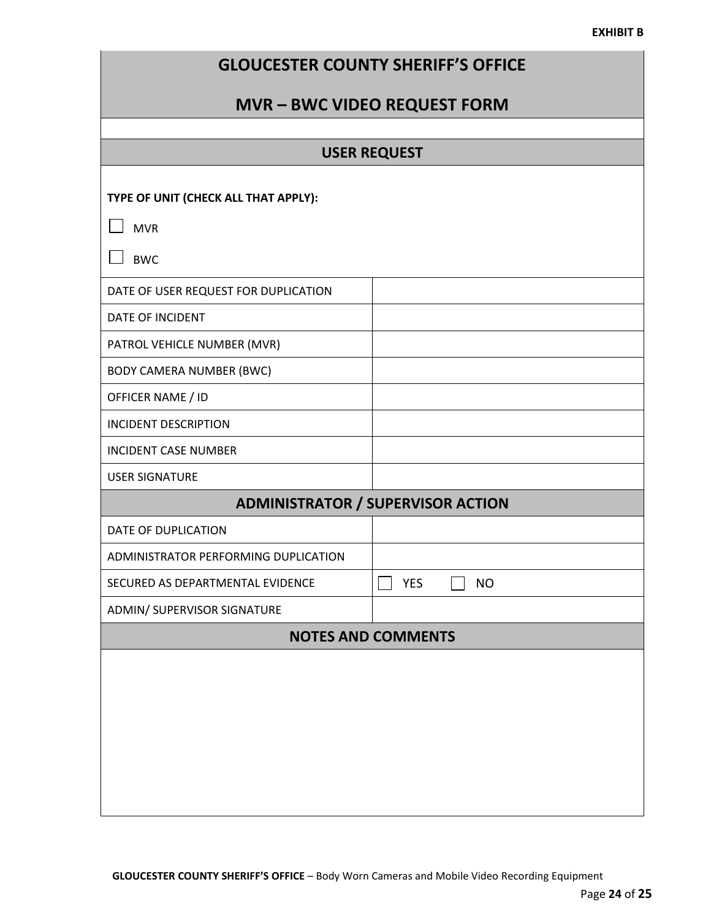#### **EXHIBIT B**

|  | <b>GLOUCESTER COUNTY SHERIFF'S OFFICE</b> |  |
|--|-------------------------------------------|--|
|--|-------------------------------------------|--|

# **MVR – BWC VIDEO REQUEST FORM**

# **USER REQUEST**

| TYPE OF UNIT (CHECK ALL THAT APPLY):     |                           |  |  |  |
|------------------------------------------|---------------------------|--|--|--|
| <b>MVR</b>                               |                           |  |  |  |
| <b>BWC</b>                               |                           |  |  |  |
| DATE OF USER REQUEST FOR DUPLICATION     |                           |  |  |  |
| DATE OF INCIDENT                         |                           |  |  |  |
| PATROL VEHICLE NUMBER (MVR)              |                           |  |  |  |
| <b>BODY CAMERA NUMBER (BWC)</b>          |                           |  |  |  |
| OFFICER NAME / ID                        |                           |  |  |  |
| <b>INCIDENT DESCRIPTION</b>              |                           |  |  |  |
| <b>INCIDENT CASE NUMBER</b>              |                           |  |  |  |
| <b>USER SIGNATURE</b>                    |                           |  |  |  |
| <b>ADMINISTRATOR / SUPERVISOR ACTION</b> |                           |  |  |  |
|                                          |                           |  |  |  |
| DATE OF DUPLICATION                      |                           |  |  |  |
| ADMINISTRATOR PERFORMING DUPLICATION     |                           |  |  |  |
| SECURED AS DEPARTMENTAL EVIDENCE         | <b>YES</b><br><b>NO</b>   |  |  |  |
| ADMIN/ SUPERVISOR SIGNATURE              |                           |  |  |  |
|                                          | <b>NOTES AND COMMENTS</b> |  |  |  |
|                                          |                           |  |  |  |
|                                          |                           |  |  |  |
|                                          |                           |  |  |  |
|                                          |                           |  |  |  |
|                                          |                           |  |  |  |